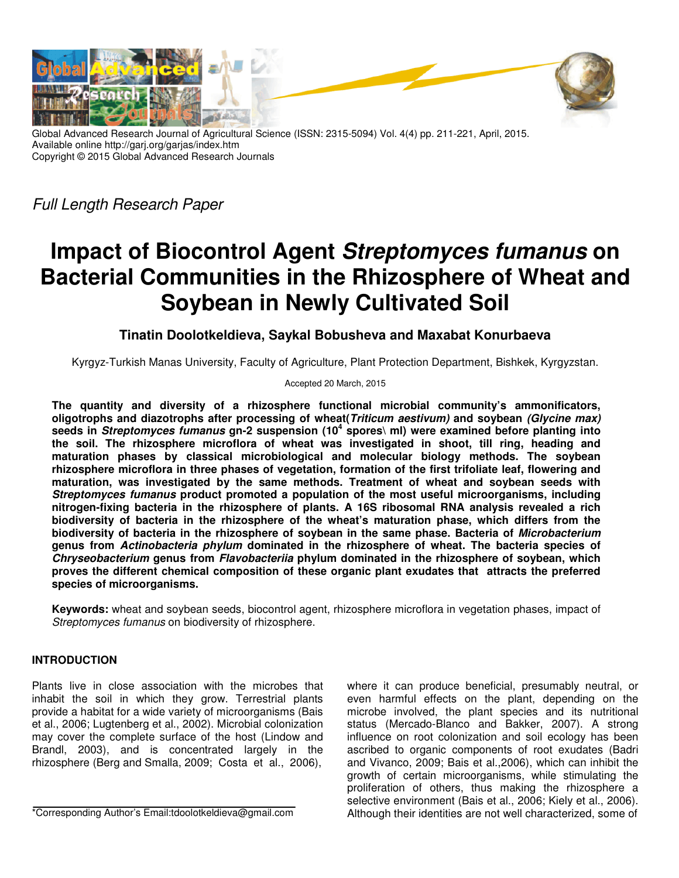

Global Advanced Research Journal of Agricultural Science (ISSN: 2315-5094) Vol. 4(4) pp. 211-221, April, 2015. Available online http://garj.org/garjas/index.htm Copyright © 2015 Global Advanced Research Journals

Full Length Research Paper

# **Impact of Biocontrol Agent Streptomyces fumanus on Bacterial Communities in the Rhizosphere of Wheat and Soybean in Newly Cultivated Soil**

## **Tinatin Doolotkeldieva, Saykal Bobusheva and Maxabat Konurbaeva**

Kyrgyz-Turkish Manas University, Faculty of Agriculture, Plant Protection Department, Bishkek, Kyrgyzstan.

#### Accepted 20 March, 2015

**The quantity and diversity of a rhizosphere functional microbial community's ammonificators, oligotrophs and diazotrophs after processing of wheat(Triticum aestivum) and soybean (Glycine max) seeds in Streptomyces fumanus gn-2 suspension (10<sup>4</sup> spores\ ml) were examined before planting into the soil. The rhizosphere microflora of wheat was investigated in shoot, till ring, heading and maturation phases by classical microbiological and molecular biology methods. The soybean rhizosphere microflora in three phases of vegetation, formation of the first trifoliate leaf, flowering and maturation, was investigated by the same methods. Treatment of wheat and soybean seeds with Streptomyces fumanus product promoted a population of the most useful microorganisms, including nitrogen-fixing bacteria in the rhizosphere of plants. A 16S ribosomal RNA analysis revealed a rich biodiversity of bacteria in the rhizosphere of the wheat's maturation phase, which differs from the biodiversity of bacteria in the rhizosphere of soybean in the same phase. Bacteria of Microbacterium genus from Actinobacteria phylum dominated in the rhizosphere of wheat. The bacteria species of Chryseobacterium genus from Flavobacteriia phylum dominated in the rhizosphere of soybean, which proves the different chemical composition of these organic plant exudates that attracts the preferred species of microorganisms.** 

**Keywords:** wheat and soybean seeds, biocontrol agent, rhizosphere microflora in vegetation phases, impact of Streptomyces fumanus on biodiversity of rhizosphere.

## **INTRODUCTION**

Plants live in close association with the microbes that inhabit the soil in which they grow. Terrestrial plants provide a habitat for a wide variety of microorganisms (Bais et al., 2006; Lugtenberg et al., 2002). Microbial colonization may cover the complete surface of the host (Lindow and Brandl, 2003), and is concentrated largely in the rhizosphere (Berg and Smalla, 2009; Costa et al., 2006),

\*Corresponding Author's Email:tdoolotkeldieva@gmail.com

where it can produce beneficial, presumably neutral, or even harmful effects on the plant, depending on the microbe involved, the plant species and its nutritional status (Mercado-Blanco and Bakker, 2007). A strong influence on root colonization and soil ecology has been ascribed to organic components of root exudates (Badri and Vivanco, 2009; Bais et al.,2006), which can inhibit the growth of certain microorganisms, while stimulating the proliferation of others, thus making the rhizosphere a selective environment (Bais et al., 2006; Kiely et al., 2006). Although their identities are not well characterized, some of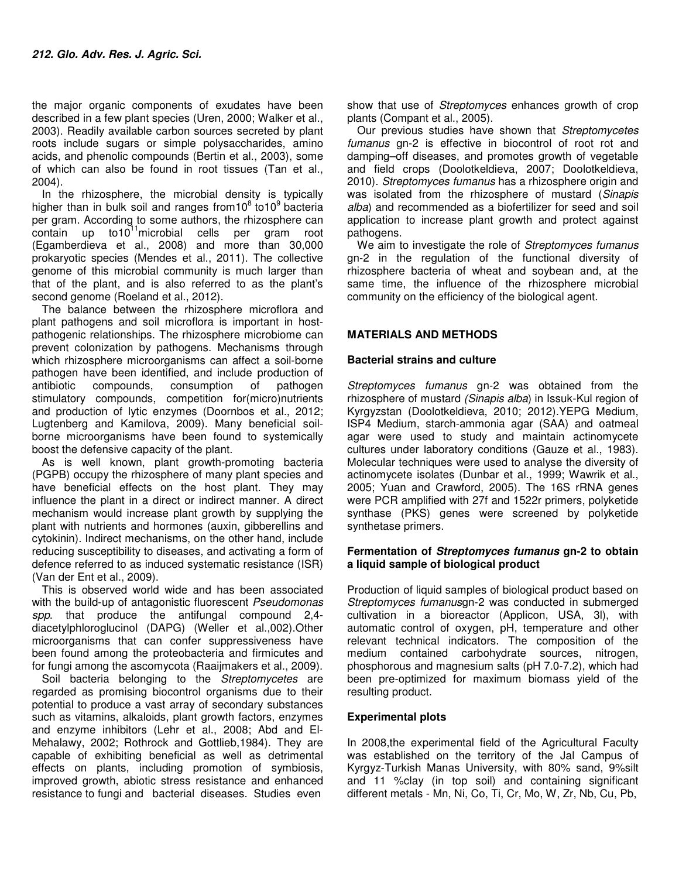the major organic components of exudates have been described in a few plant species (Uren, 2000; Walker et al., 2003). Readily available carbon sources secreted by plant roots include sugars or simple polysaccharides, amino acids, and phenolic compounds (Bertin et al., 2003), some of which can also be found in root tissues (Tan et al., 2004).

In the rhizosphere, the microbial density is typically higher than in bulk soil and ranges from  $10^8$  to  $10^9$  bacteria per gram. According to some authors, the rhizosphere can contain up to10<sup>11</sup>microbial cells per gram root (Egamberdieva et al., 2008) and more than 30,000 prokaryotic species (Mendes et al., 2011). The collective genome of this microbial community is much larger than that of the plant, and is also referred to as the plant's second genome (Roeland et al., 2012).

The balance between the rhizosphere microflora and plant pathogens and soil microflora is important in hostpathogenic relationships. The rhizosphere microbiome can prevent colonization by pathogens. Mechanisms through which rhizosphere microorganisms can affect a soil-borne pathogen have been identified, and include production of antibiotic compounds, consumption of pathogen stimulatory compounds, competition for(micro)nutrients and production of lytic enzymes (Doornbos et al., 2012; Lugtenberg and Kamilova, 2009). Many beneficial soilborne microorganisms have been found to systemically boost the defensive capacity of the plant.

As is well known, plant growth-promoting bacteria (PGPB) occupy the rhizosphere of many plant species and have beneficial effects on the host plant. They may influence the plant in a direct or indirect manner. A direct mechanism would increase plant growth by supplying the plant with nutrients and hormones (auxin, gibberellins and cytokinin). Indirect mechanisms, on the other hand, include reducing susceptibility to diseases, and activating a form of defence referred to as induced systematic resistance (ISR) (Van der Ent et al., 2009).

This is observed world wide and has been associated with the build-up of antagonistic fluorescent Pseudomonas spp. that produce the antifungal compound 2,4 diacetylphloroglucinol (DAPG) (Weller et al.,002).Other microorganisms that can confer suppressiveness have been found among the proteobacteria and firmicutes and for fungi among the ascomycota (Raaijmakers et al., 2009).

Soil bacteria belonging to the Streptomycetes are regarded as promising biocontrol organisms due to their potential to produce a vast array of secondary substances such as vitamins, alkaloids, plant growth factors, enzymes and enzyme inhibitors (Lehr et al., 2008; Abd and El-Mehalawy, 2002; Rothrock and Gottlieb,1984). They are capable of exhibiting beneficial as well as detrimental effects on plants, including promotion of symbiosis, improved growth, abiotic stress resistance and enhanced resistance to fungi and bacterial diseases. Studies even

show that use of *Streptomyces* enhances growth of crop plants (Compant et al., 2005).

Our previous studies have shown that Streptomycetes fumanus gn-2 is effective in biocontrol of root rot and damping–off diseases, and promotes growth of vegetable and field crops (Doolotkeldieva, 2007; Doolotkeldieva, 2010). Streptomyces fumanus has a rhizosphere origin and was isolated from the rhizosphere of mustard (Sinapis alba) and recommended as a biofertilizer for seed and soil application to increase plant growth and protect against pathogens.

We aim to investigate the role of Streptomyces fumanus gn-2 in the regulation of the functional diversity of rhizosphere bacteria of wheat and soybean and, at the same time, the influence of the rhizosphere microbial community on the efficiency of the biological agent.

## **MATERIALS AND METHODS**

## **Bacterial strains and culture**

Streptomyces fumanus gn-2 was obtained from the rhizosphere of mustard (Sinapis alba) in Issuk-Kul region of Kyrgyzstan (Doolotkeldieva, 2010; 2012).YEPG Medium, ISP4 Medium, starch-ammonia agar (SAA) and oatmeal agar were used to study and maintain actinomycete cultures under laboratory conditions (Gauze et al., 1983). Molecular techniques were used to analyse the diversity of actinomycete isolates (Dunbar et al., 1999; Wawrik et al., 2005; Yuan and Crawford, 2005). The 16S rRNA genes were PCR amplified with 27f and 1522r primers, polyketide synthase (PKS) genes were screened by polyketide synthetase primers.

#### **Fermentation of Streptomyces fumanus gn-2 to obtain a liquid sample of biological product**

Production of liquid samples of biological product based on Streptomyces fumanusgn-2 was conducted in submerged cultivation in a bioreactor (Applicon, USA, 3l), with automatic control of oxygen, pH, temperature and other relevant technical indicators. The composition of the medium contained carbohydrate sources, nitrogen, phosphorous and magnesium salts (pH 7.0-7.2), which had been pre-optimized for maximum biomass yield of the resulting product.

## **Experimental plots**

In 2008,the experimental field of the Agricultural Faculty was established on the territory of the Jal Campus of Kyrgyz-Turkish Manas University, with 80% sand, 9%silt and 11 %clay (in top soil) and containing significant different metals - Mn, Ni, Co, Ti, Cr, Mo, W, Zr, Nb, Cu, Pb,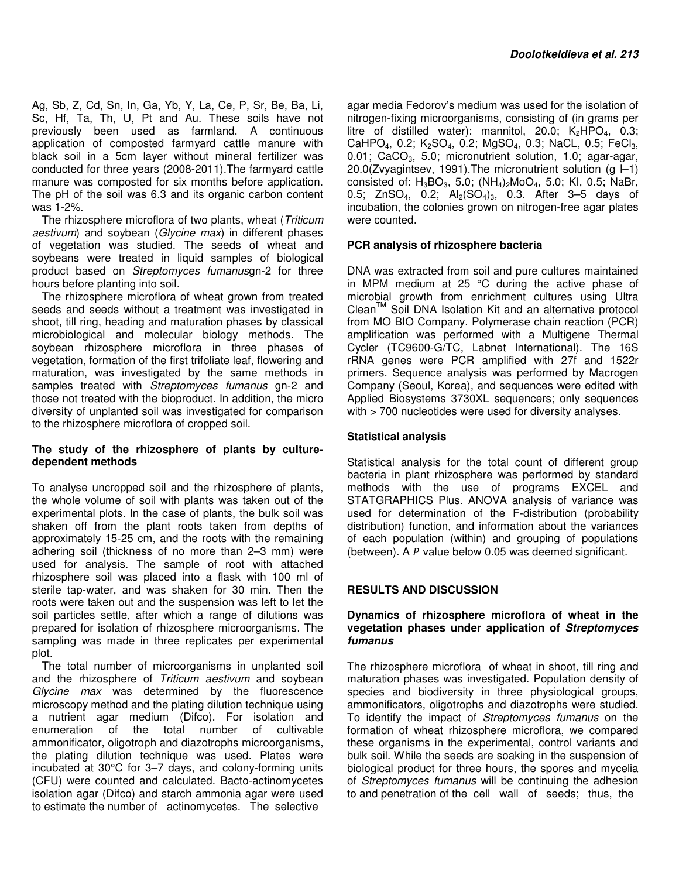Ag, Sb, Z, Cd, Sn, In, Ga, Yb, Y, La, Ce, P, Sr, Be, Ba, Li, Sc, Hf, Ta, Th, U, Pt and Au. These soils have not previously been used as farmland. A continuous application of composted farmyard cattle manure with black soil in a 5cm layer without mineral fertilizer was conducted for three years (2008-2011).The farmyard cattle manure was composted for six months before application. The pH of the soil was 6.3 and its organic carbon content was 1-2%.

The rhizosphere microflora of two plants, wheat (Triticum aestivum) and soybean (Glycine max) in different phases of vegetation was studied. The seeds of wheat and soybeans were treated in liquid samples of biological product based on Streptomyces fumanusgn-2 for three hours before planting into soil.

The rhizosphere microflora of wheat grown from treated seeds and seeds without a treatment was investigated in shoot, till ring, heading and maturation phases by classical microbiological and molecular biology methods. The soybean rhizosphere microflora in three phases of vegetation, formation of the first trifoliate leaf, flowering and maturation, was investigated by the same methods in samples treated with Streptomyces fumanus gn-2 and those not treated with the bioproduct. In addition, the micro diversity of unplanted soil was investigated for comparison to the rhizosphere microflora of cropped soil.

#### **The study of the rhizosphere of plants by culturedependent methods**

To analyse uncropped soil and the rhizosphere of plants, the whole volume of soil with plants was taken out of the experimental plots. In the case of plants, the bulk soil was shaken off from the plant roots taken from depths of approximately 15-25 cm, and the roots with the remaining adhering soil (thickness of no more than 2–3 mm) were used for analysis. The sample of root with attached rhizosphere soil was placed into a flask with 100 ml of sterile tap-water, and was shaken for 30 min. Then the roots were taken out and the suspension was left to let the soil particles settle, after which a range of dilutions was prepared for isolation of rhizosphere microorganisms. The sampling was made in three replicates per experimental plot.

The total number of microorganisms in unplanted soil and the rhizosphere of Triticum aestivum and soybean Glycine max was determined by the fluorescence microscopy method and the plating dilution technique using a nutrient agar medium (Difco). For isolation and enumeration of the total number of cultivable ammonificator, oligotroph and diazotrophs microorganisms, the plating dilution technique was used. Plates were incubated at 30°C for 3–7 days, and colony-forming units (CFU) were counted and calculated. Bacto-actinomycetes isolation agar (Difco) and starch ammonia agar were used to estimate the number of actinomycetes. The selective

agar media Fedorov's medium was used for the isolation of nitrogen-fixing microorganisms, consisting of (in grams per litre of distilled water): mannitol, 20.0;  $K_2HPO_4$ , 0.3; CaHPO<sub>4</sub>, 0.2; K<sub>2</sub>SO<sub>4</sub>, 0.2; MgSO<sub>4</sub>, 0.3; NaCL, 0.5; FeCl<sub>3</sub>, 0.01;  $CaCO<sub>3</sub>$ , 5.0; micronutrient solution, 1.0; agar-agar, 20.0(Zvyagintsev, 1991). The micronutrient solution (g  $|-1$ ) consisted of:  $H_3BO_3$ , 5.0;  $(NH_4)_2MOQ_4$ , 5.0; KI, 0.5; NaBr, 0.5; ZnSO<sub>4</sub>, 0.2;  $Al_2(SO_4)_3$ , 0.3. After 3-5 days of incubation, the colonies grown on nitrogen-free agar plates were counted.

## **PCR analysis of rhizosphere bacteria**

DNA was extracted from soil and pure cultures maintained in MPM medium at 25 °C during the active phase of microbial growth from enrichment cultures using Ultra Clean<sup>™</sup> Soil DNA Isolation Kit and an alternative protocol from MO BIO Company. Polymerase chain reaction (PCR) amplification was performed with a Multigene Thermal Cycler (TC9600-G/TC, Labnet International). The 16S rRNA genes were PCR amplified with 27f and 1522r primers. Sequence analysis was performed by Macrogen Company (Seoul, Korea), and sequences were edited with Applied Biosystems 3730XL sequencers; only sequences with > 700 nucleotides were used for diversity analyses.

## **Statistical analysis**

Statistical analysis for the total count of different group bacteria in plant rhizosphere was performed by standard methods with the use of programs EXCEL and STATGRAPHICS Plus. ANOVA analysis of variance was used for determination of the F-distribution (probability distribution) function, and information about the variances of each population (within) and grouping of populations (between). A  $P$  value below 0.05 was deemed significant.

## **RESULTS AND DISCUSSION**

#### **Dynamics of rhizosphere microflora of wheat in the vegetation phases under application of Streptomyces fumanus**

The rhizosphere microflora of wheat in shoot, till ring and maturation phases was investigated. Population density of species and biodiversity in three physiological groups, ammonificators, oligotrophs and diazotrophs were studied. To identify the impact of Streptomyces fumanus on the formation of wheat rhizosphere microflora, we compared these organisms in the experimental, control variants and bulk soil. While the seeds are soaking in the suspension of biological product for three hours, the spores and mycelia of Streptomyces fumanus will be continuing the adhesion to and penetration of the cell wall of seeds; thus, the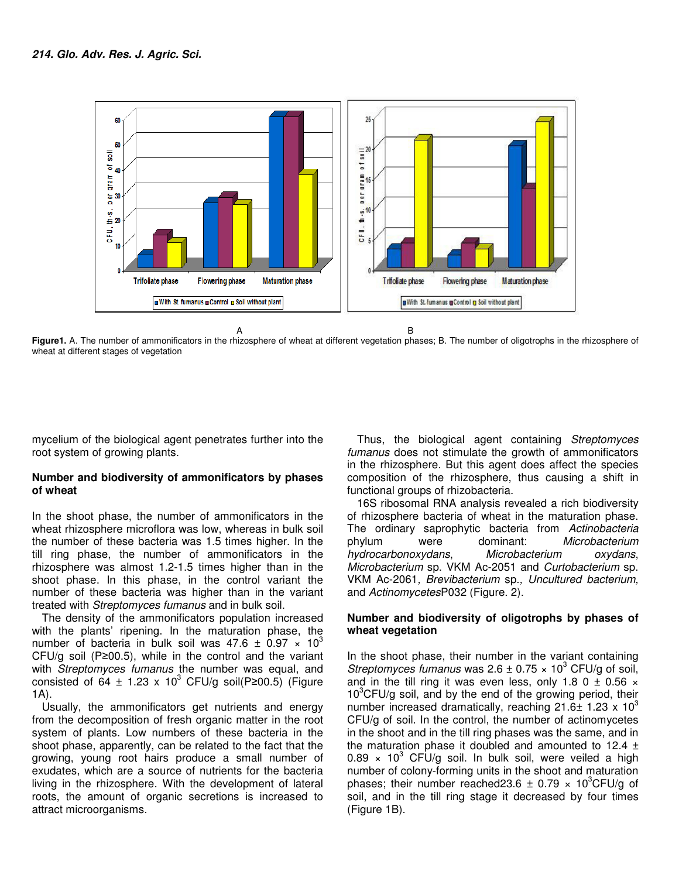

**Figure1.** A. The number of ammonificators in the rhizosphere of wheat at different vegetation phases; B. The number of oligotrophs in the rhizosphere of wheat at different stages of vegetation

mycelium of the biological agent penetrates further into the root system of growing plants.

#### **Number and biodiversity of ammonificators by phases of wheat**

In the shoot phase, the number of ammonificators in the wheat rhizosphere microflora was low, whereas in bulk soil the number of these bacteria was 1.5 times higher. In the till ring phase, the number of ammonificators in the rhizosphere was almost 1.2-1.5 times higher than in the shoot phase. In this phase, in the control variant the number of these bacteria was higher than in the variant treated with Streptomyces fumanus and in bulk soil.

The density of the ammonificators population increased with the plants' ripening. In the maturation phase, the number of bacteria in bulk soil was 47.6  $\pm$  0.97  $\times$  10<sup>3</sup> CFU/g soil (P≥00.5), while in the control and the variant with Streptomyces fumanus the number was equal, and consisted of  $64 \pm 1.23 \times 10^3$  CFU/g soil(P≥00.5) (Figure 1A).

Usually, the ammonificators get nutrients and energy from the decomposition of fresh organic matter in the root system of plants. Low numbers of these bacteria in the shoot phase, apparently, can be related to the fact that the growing, young root hairs produce a small number of exudates, which are a source of nutrients for the bacteria living in the rhizosphere. With the development of lateral roots, the amount of organic secretions is increased to attract microorganisms.

Thus, the biological agent containing Streptomyces fumanus does not stimulate the growth of ammonificators in the rhizosphere. But this agent does affect the species composition of the rhizosphere, thus causing a shift in functional groups of rhizobacteria.

16S ribosomal RNA analysis revealed a rich biodiversity of rhizosphere bacteria of wheat in the maturation phase. The ordinary saprophytic bacteria from Actinobacteria phylum were dominant: Microbacterium hydrocarbonoxydans, Microbacterium oxydans, Microbacterium sp. VKM Ac-2051 and Curtobacterium sp. VKM Ac-2061, Brevibacterium sp., Uncultured bacterium, and ActinomycetesP032 (Figure. 2).

#### **Number and biodiversity of oligotrophs by phases of wheat vegetation**

In the shoot phase, their number in the variant containing Streptomyces fumanus was  $2.6 \pm 0.75 \times 10^3$  CFU/g of soil, and in the till ring it was even less, only 1.8 0  $\pm$  0.56  $\times$  $10^3$ CFU/g soil, and by the end of the growing period, their number increased dramatically, reaching  $21.6 \pm 1.23 \times 10^3$ CFU/g of soil. In the control, the number of actinomycetes in the shoot and in the till ring phases was the same, and in the maturation phase it doubled and amounted to  $12.4 \pm$ 0.89  $\times$  10<sup>3</sup> CFU/g soil. In bulk soil, were veiled a high number of colony-forming units in the shoot and maturation phases; their number reached 23.6  $\pm$  0.79  $\times$  10<sup>3</sup>CFU/g of soil, and in the till ring stage it decreased by four times (Figure 1B).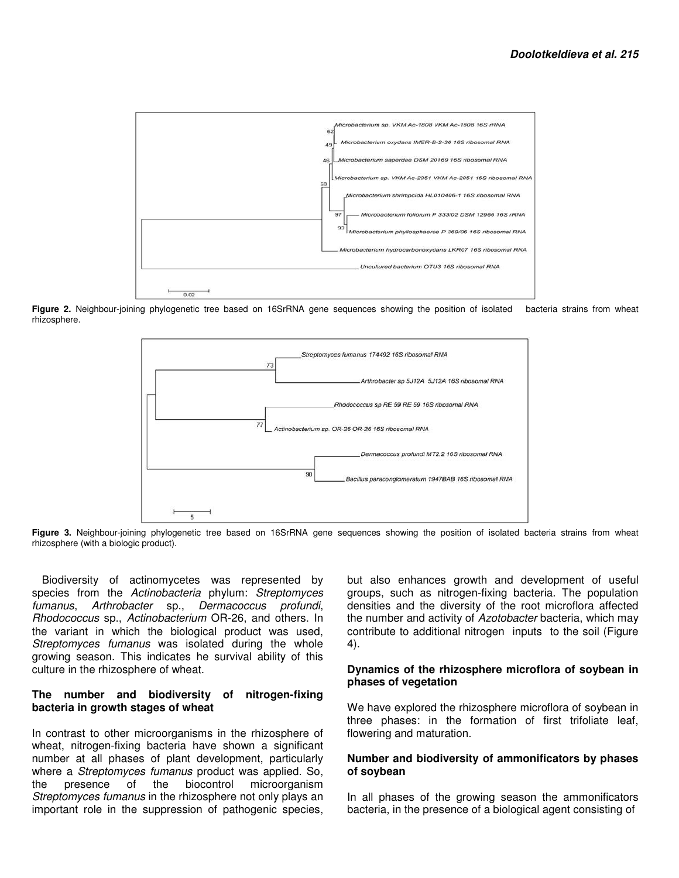

**Figure 2.** Neighbour-joining phylogenetic tree based on 16SrRNA gene sequences showing the position of isolated bacteria strains from wheat rhizosphere.



**Figure 3.** Neighbour-joining phylogenetic tree based on 16SrRNA gene sequences showing the position of isolated bacteria strains from wheat rhizosphere (with a biologic product).

Biodiversity of actinomycetes was represented by species from the Actinobacteria phylum: Streptomyces fumanus, Arthrobacter sp., Dermacoccus profundi, Rhodococcus sp., Actinobacterium OR-26, and others. In the variant in which the biological product was used, Streptomyces fumanus was isolated during the whole growing season. This indicates he survival ability of this culture in the rhizosphere of wheat.

#### **The number and biodiversity of nitrogen-fixing bacteria in growth stages of wheat**

In contrast to other microorganisms in the rhizosphere of wheat, nitrogen-fixing bacteria have shown a significant number at all phases of plant development, particularly where a Streptomyces fumanus product was applied. So, the presence of the biocontrol microorganism Streptomyces fumanus in the rhizosphere not only plays an important role in the suppression of pathogenic species,

but also enhances growth and development of useful groups, such as nitrogen-fixing bacteria. The population densities and the diversity of the root microflora affected the number and activity of Azotobacter bacteria, which may contribute to additional nitrogen inputs to the soil (Figure 4).

#### **Dynamics of the rhizosphere microflora of soybean in phases of vegetation**

We have explored the rhizosphere microflora of soybean in three phases: in the formation of first trifoliate leaf, flowering and maturation.

#### **Number and biodiversity of ammonificators by phases of soybean**

In all phases of the growing season the ammonificators bacteria, in the presence of a biological agent consisting of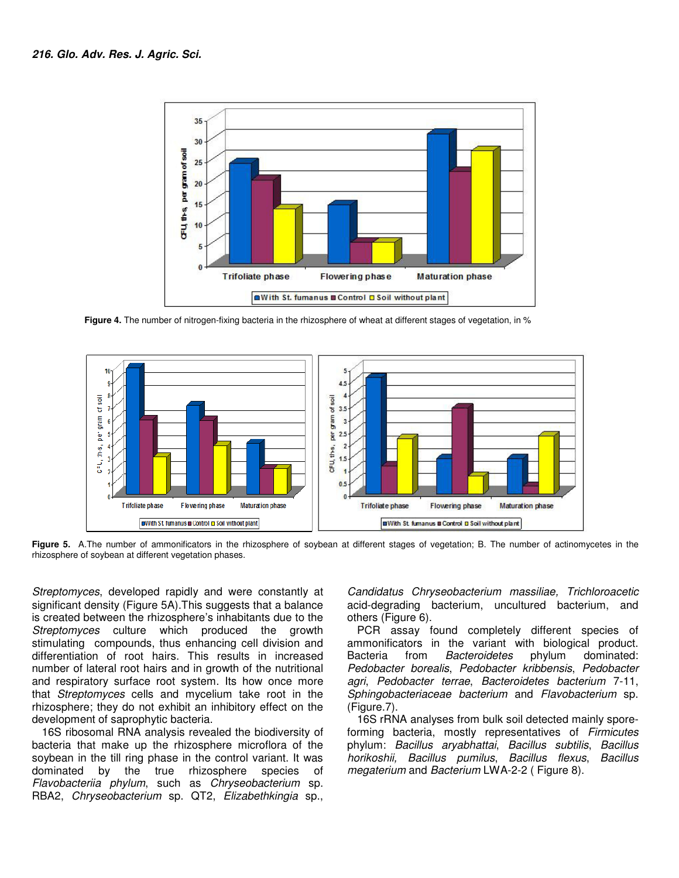

 **Figure 4.** The number of nitrogen-fixing bacteria in the rhizosphere of wheat at different stages of vegetation, in %



Figure 5. A.The number of ammonificators in the rhizosphere of soybean at different stages of vegetation; B. The number of actinomycetes in the rhizosphere of soybean at different vegetation phases.

Streptomyces, developed rapidly and were constantly at significant density (Figure 5A).This suggests that a balance is created between the rhizosphere's inhabitants due to the Streptomyces culture which produced the growth stimulating compounds, thus enhancing cell division and differentiation of root hairs. This results in increased number of lateral root hairs and in growth of the nutritional and respiratory surface root system. Its how once more that Streptomyces cells and mycelium take root in the rhizosphere; they do not exhibit an inhibitory effect on the development of saprophytic bacteria.

16S ribosomal RNA analysis revealed the biodiversity of bacteria that make up the rhizosphere microflora of the soybean in the till ring phase in the control variant. It was dominated by the true rhizosphere species of Flavobacteriia phylum, such as Chryseobacterium sp. RBA2, Chryseobacterium sp. QT2, Elizabethkingia sp.,

Candidatus Chryseobacterium massiliae, Trichloroacetic acid-degrading bacterium, uncultured bacterium, and others (Figure 6).

PCR assay found completely different species of ammonificators in the variant with biological product. Bacteria from Bacteroidetes phylum dominated: Pedobacter borealis, Pedobacter kribbensis, Pedobacter agri, Pedobacter terrae, Bacteroidetes bacterium 7-11, Sphingobacteriaceae bacterium and Flavobacterium sp. (Figure.7).

16S rRNA analyses from bulk soil detected mainly sporeforming bacteria, mostly representatives of Firmicutes phylum: Bacillus aryabhattai, Bacillus subtilis, Bacillus horikoshii, Bacillus pumilus, Bacillus flexus, Bacillus megaterium and Bacterium LWA-2-2 (Figure 8).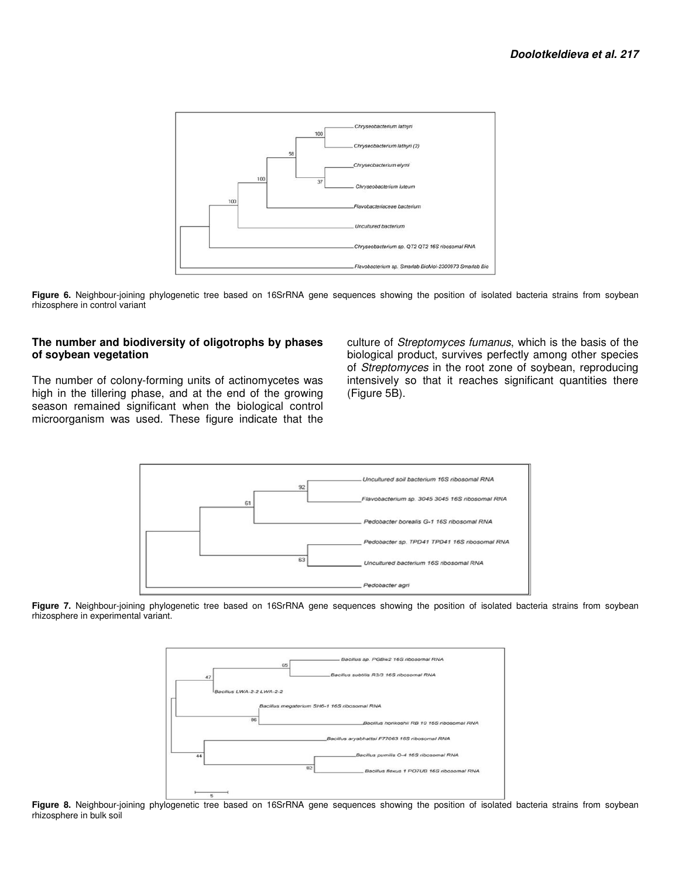

Figure 6. Neighbour-joining phylogenetic tree based on 16SrRNA gene sequences showing the position of isolated bacteria strains from soybean rhizosphere in control variant

#### **The number and biodiversity of oligotrophs by phases of soybean vegetation**

The number of colony-forming units of actinomycetes was high in the tillering phase, and at the end of the growing season remained significant when the biological control microorganism was used. These figure indicate that the

culture of Streptomyces fumanus, which is the basis of the biological product, survives perfectly among other species of Streptomyces in the root zone of soybean, reproducing intensively so that it reaches significant quantities there (Figure 5B).



Figure 7. Neighbour-joining phylogenetic tree based on 16SrRNA gene sequences showing the position of isolated bacteria strains from soybean rhizosphere in experimental variant.



Figure 8. Neighbour-joining phylogenetic tree based on 16SrRNA gene sequences showing the position of isolated bacteria strains from soybean rhizosphere in bulk soil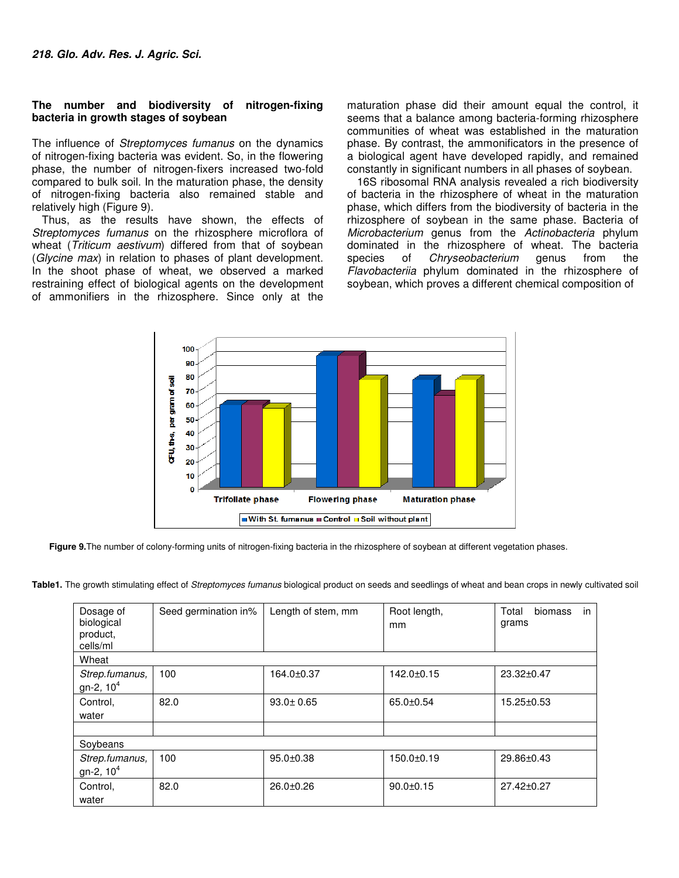#### **The number and biodiversity of nitrogen-fixing bacteria in growth stages of soybean**

The influence of *Streptomyces fumanus* on the dynamics of nitrogen-fixing bacteria was evident. So, in the flowering phase, the number of nitrogen-fixers increased two-fold compared to bulk soil. In the maturation phase, the density of nitrogen-fixing bacteria also remained stable and relatively high (Figure 9).

Thus, as the results have shown, the effects of Streptomyces fumanus on the rhizosphere microflora of wheat (Triticum aestivum) differed from that of soybean (Glycine max) in relation to phases of plant development. In the shoot phase of wheat, we observed a marked restraining effect of biological agents on the development of ammonifiers in the rhizosphere. Since only at the

maturation phase did their amount equal the control, it seems that a balance among bacteria-forming rhizosphere communities of wheat was established in the maturation phase. By contrast, the ammonificators in the presence of a biological agent have developed rapidly, and remained constantly in significant numbers in all phases of soybean.

16S ribosomal RNA analysis revealed a rich biodiversity of bacteria in the rhizosphere of wheat in the maturation phase, which differs from the biodiversity of bacteria in the rhizosphere of soybean in the same phase. Bacteria of Microbacterium genus from the Actinobacteria phylum dominated in the rhizosphere of wheat. The bacteria species of *Chryseobacterium* genus from the Flavobacteriia phylum dominated in the rhizosphere of soybean, which proves a different chemical composition of



Figure 9. The number of colony-forming units of nitrogen-fixing bacteria in the rhizosphere of soybean at different vegetation phases.

Table1. The growth stimulating effect of Streptomyces fumanus biological product on seeds and seedlings of wheat and bean crops in newly cultivated soil

| Dosage of<br>biological<br>product,<br>cells/ml | Seed germination in% | Length of stem, mm | Root length,<br>mm | biomass<br>Total<br>in<br>grams |
|-------------------------------------------------|----------------------|--------------------|--------------------|---------------------------------|
| Wheat                                           |                      |                    |                    |                                 |
| Strep.fumanus,<br>gn-2, $10^4$                  | 100                  | 164.0±0.37         | $142.0 \pm 0.15$   | 23.32±0.47                      |
| Control.<br>water                               | 82.0                 | $93.0 \pm 0.65$    | 65.0±0.54          | $15.25 \pm 0.53$                |
|                                                 |                      |                    |                    |                                 |
| Soybeans                                        |                      |                    |                    |                                 |
| Strep.fumanus,<br>gn-2, $10^4$                  | 100                  | $95.0 + 0.38$      | 150.0±0.19         | 29.86±0.43                      |
| Control.<br>water                               | 82.0                 | $26.0 + 0.26$      | $90.0 \pm 0.15$    | 27.42±0.27                      |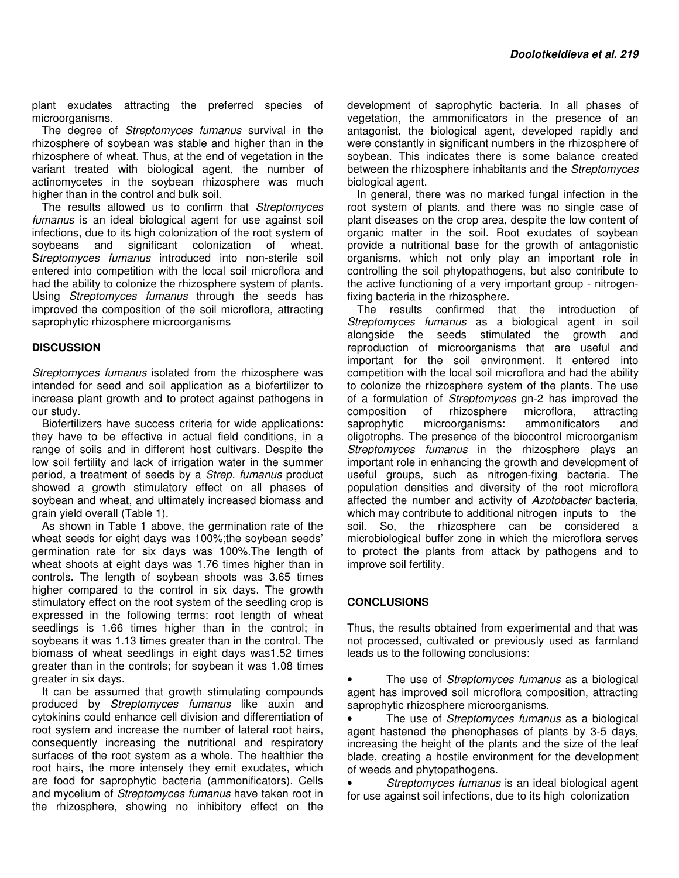plant exudates attracting the preferred species of microorganisms.

The degree of Streptomyces fumanus survival in the rhizosphere of soybean was stable and higher than in the rhizosphere of wheat. Thus, at the end of vegetation in the variant treated with biological agent, the number of actinomycetes in the soybean rhizosphere was much higher than in the control and bulk soil.

The results allowed us to confirm that Streptomyces fumanus is an ideal biological agent for use against soil infections, due to its high colonization of the root system of soybeans and significant colonization of wheat. Streptomyces fumanus introduced into non-sterile soil entered into competition with the local soil microflora and had the ability to colonize the rhizosphere system of plants. Using Streptomyces fumanus through the seeds has improved the composition of the soil microflora, attracting saprophytic rhizosphere microorganisms

#### **DISCUSSION**

Streptomyces fumanus isolated from the rhizosphere was intended for seed and soil application as a biofertilizer to increase plant growth and to protect against pathogens in our study.

Biofertilizers have success criteria for wide applications: they have to be effective in actual field conditions, in a range of soils and in different host cultivars. Despite the low soil fertility and lack of irrigation water in the summer period, a treatment of seeds by a Strep. fumanus product showed a growth stimulatory effect on all phases of soybean and wheat, and ultimately increased biomass and grain yield overall (Table 1).

As shown in Table 1 above, the germination rate of the wheat seeds for eight days was 100%;the soybean seeds' germination rate for six days was 100%.The length of wheat shoots at eight days was 1.76 times higher than in controls. The length of soybean shoots was 3.65 times higher compared to the control in six days. The growth stimulatory effect on the root system of the seedling crop is expressed in the following terms: root length of wheat seedlings is 1.66 times higher than in the control; in soybeans it was 1.13 times greater than in the control. The biomass of wheat seedlings in eight days was1.52 times greater than in the controls; for soybean it was 1.08 times greater in six days.

It can be assumed that growth stimulating compounds produced by Streptomyces fumanus like auxin and cytokinins could enhance cell division and differentiation of root system and increase the number of lateral root hairs, consequently increasing the nutritional and respiratory surfaces of the root system as a whole. The healthier the root hairs, the more intensely they emit exudates, which are food for saprophytic bacteria (ammonificators). Cells and mycelium of Streptomyces fumanus have taken root in the rhizosphere, showing no inhibitory effect on the

development of saprophytic bacteria. In all phases of vegetation, the ammonificators in the presence of an antagonist, the biological agent, developed rapidly and were constantly in significant numbers in the rhizosphere of soybean. This indicates there is some balance created between the rhizosphere inhabitants and the Streptomyces biological agent.

In general, there was no marked fungal infection in the root system of plants, and there was no single case of plant diseases on the crop area, despite the low content of organic matter in the soil. Root exudates of soybean provide a nutritional base for the growth of antagonistic organisms, which not only play an important role in controlling the soil phytopathogens, but also contribute to the active functioning of a very important group - nitrogenfixing bacteria in the rhizosphere.

The results confirmed that the introduction of Streptomyces fumanus as a biological agent in soil alongside the seeds stimulated the growth and reproduction of microorganisms that are useful and important for the soil environment. It entered into competition with the local soil microflora and had the ability to colonize the rhizosphere system of the plants. The use of a formulation of Streptomyces gn-2 has improved the composition of rhizosphere microflora, attracting saprophytic microorganisms: ammonificators and oligotrophs. The presence of the biocontrol microorganism Streptomyces fumanus in the rhizosphere plays an important role in enhancing the growth and development of useful groups, such as nitrogen-fixing bacteria. The population densities and diversity of the root microflora affected the number and activity of Azotobacter bacteria, which may contribute to additional nitrogen inputs to the soil. So, the rhizosphere can be considered a microbiological buffer zone in which the microflora serves to protect the plants from attack by pathogens and to improve soil fertility.

#### **CONCLUSIONS**

Thus, the results obtained from experimental and that was not processed, cultivated or previously used as farmland leads us to the following conclusions:

The use of Streptomyces fumanus as a biological agent has improved soil microflora composition, attracting saprophytic rhizosphere microorganisms.

The use of Streptomyces fumanus as a biological agent hastened the phenophases of plants by 3-5 days, increasing the height of the plants and the size of the leaf blade, creating a hostile environment for the development of weeds and phytopathogens.

Streptomyces fumanus is an ideal biological agent for use against soil infections, due to its high colonization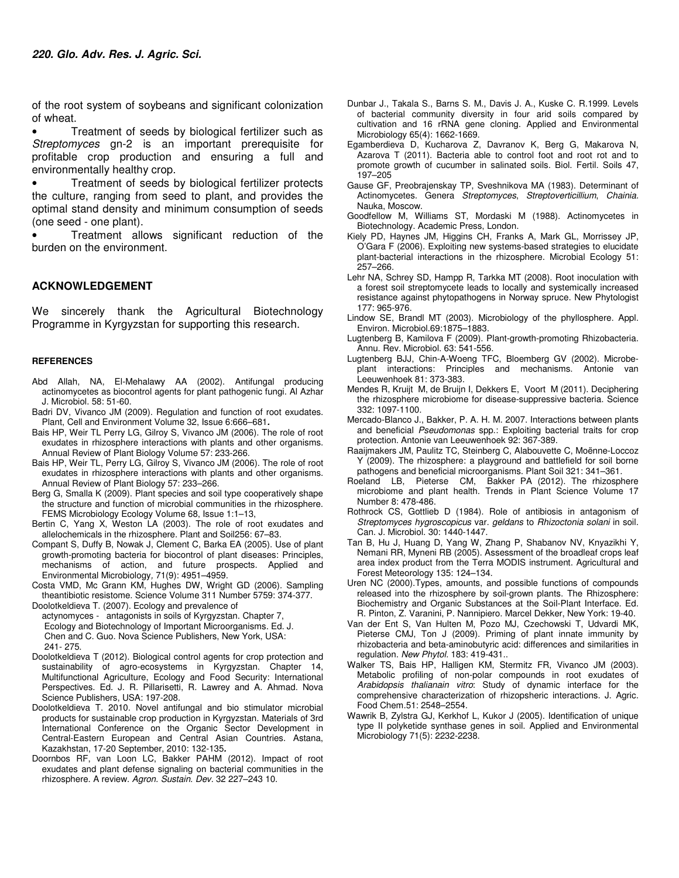of the root system of soybeans and significant colonization of wheat.

• Treatment of seeds by biological fertilizer such as Streptomyces gn-2 is an important prerequisite for profitable crop production and ensuring a full and environmentally healthy crop.

Treatment of seeds by biological fertilizer protects the culture, ranging from seed to plant, and provides the optimal stand density and minimum consumption of seeds (one seed - one plant).

• Treatment allows significant reduction of the burden on the environment.

#### **ACKNOWLEDGEMENT**

We sincerely thank the Agricultural Biotechnology Programme in Kyrgyzstan for supporting this research.

#### **REFERENCES**

- Abd Allah, NA, El-Mehalawy AA (2002). Antifungal producing actinomycetes as biocontrol agents for plant pathogenic fungi. Al Azhar J. Microbiol. 58: 51-60.
- Badri DV, Vivanco JM (2009). Regulation and function of root exudates. Plant, Cell and Environment Volume 32, Issue 6:666–681**.**
- Bais HP, Weir TL Perry LG, Gilroy S, Vivanco JM (2006). The role of root exudates in rhizosphere interactions with plants and other organisms. Annual Review of Plant Biology Volume 57: 233-266.
- Bais HP, Weir TL, Perry LG, Gilroy S, Vivanco JM (2006). The role of root exudates in rhizosphere interactions with plants and other organisms. Annual Review of Plant Biology 57: 233–266.
- Berg G, Smalla K (2009). Plant species and soil type cooperatively shape the structure and function of microbial communities in the rhizosphere. FEMS Microbiology Ecology Volume 68, Issue 1:1–13,
- Bertin C, Yang X, Weston LA (2003). The role of root exudates and allelochemicals in the rhizosphere. Plant and Soil256: 67–83.
- Compant S, Duffy B, Nowak J, Clement C, Barka EA (2005). Use of plant growth-promoting bacteria for biocontrol of plant diseases: Principles, mechanisms of action, and future prospects. Applied and Environmental Microbiology, 71(9): 4951–4959.
- Costa VMD, Mc Grann KM, Hughes DW, Wright GD (2006). Sampling theantibiotic resistome. Science Volume 311 Number 5759: 374-377.
- Doolotkeldieva T. (2007). Ecology and prevalence of actynomyces - antagonists in soils of Kyrgyzstan. Chapter 7, Ecology and Biotechnology of Important Microorganisms. Ed. J. Chen and C. Guo. Nova Science Publishers, New York, USA: 241- 275.
- Doolotkeldieva T (2012). Biological control agents for crop protection and sustainability of agro-ecosystems in Kyrgyzstan. Chapter 14, Multifunctional Agriculture, Ecology and Food Security: International Perspectives. Ed. J. R. Pillarisetti, R. Lawrey and A. Ahmad. Nova Science Publishers, USA: 197-208.
- Doolotkeldieva T. 2010. Novel antifungal and bio stimulator microbial products for sustainable crop production in Kyrgyzstan. Materials of 3rd International Conference on the Organic Sector Development in Central-Eastern European and Central Asian Countries. Astana, Kazakhstan, 17-20 September, 2010: 132-135**.**
- Doornbos RF, van Loon LC, Bakker PAHM (2012). Impact of root exudates and plant defense signaling on bacterial communities in the rhizosphere. A review. Agron. Sustain. Dev. 32 227–243 10.
- Dunbar J., Takala S., Barns S. M., Davis J. A., Kuske C. R.1999. Levels of bacterial community diversity in four arid soils compared by cultivation and 16 rRNA gene cloning. Applied and Environmental Microbiology 65(4): 1662-1669.
- Egamberdieva D, Kucharova Z, Davranov K, Berg G, Makarova N, Azarova T (2011). Bacteria able to control foot and root rot and to promote growth of cucumber in salinated soils. Biol. Fertil. Soils 47, 197–205
- Gause GF, Preobrajenskay TP, Sveshnikova MA (1983). Determinant of Actinomycetes. Genera Streptomyces, Streptoverticillium, Chainia. Nauka, Moscow.
- Goodfellow M, Williams ST, Mordaski M (1988). Actinomycetes in Biotechnology. Academic Press, London.
- Kiely PD, Haynes JM, Higgins CH, Franks A, Mark GL, Morrissey JP, O'Gara F (2006). Exploiting new systems-based strategies to elucidate plant-bacterial interactions in the rhizosphere. Microbial Ecology 51: 257–266.
- Lehr NA, Schrey SD, Hampp R, Tarkka MT (2008). Root inoculation with a forest soil streptomycete leads to locally and systemically increased resistance against phytopathogens in Norway spruce. New Phytologist 177: 965-976.
- Lindow SE, Brandl MT (2003). Microbiology of the phyllosphere. Appl. Environ. Microbiol.69:1875–1883.
- Lugtenberg B, Kamilova F (2009). Plant-growth-promoting Rhizobacteria. Annu. Rev. Microbiol. 63: 541-556.
- Lugtenberg BJJ, Chin-A-Woeng TFC, Bloemberg GV (2002). Microbeplant interactions: Principles and mechanisms. Antonie van Leeuwenhoek 81: 373-383.
- Mendes R, Kruijt M, de Bruijn I, Dekkers E, Voort M (2011). Deciphering the rhizosphere microbiome for disease-suppressive bacteria. Science 332: 1097-1100.
- Mercado-Blanco J., Bakker, P. A. H. M. 2007. Interactions between plants and beneficial Pseudomonas spp.: Exploiting bacterial traits for crop protection. Antonie van Leeuwenhoek 92: 367-389.
- Raaijmakers JM, Paulitz TC, Steinberg C, Alabouvette C, Moënne-Loccoz Y (2009). The rhizosphere: a playground and battlefield for soil borne pathogens and beneficial microorganisms. Plant Soil 321: 341–361.
- Roeland LB, Pieterse CM, Bakker PA (2012). The rhizosphere microbiome and plant health. Trends in Plant Science Volume 17 Number 8: 478-486.
- Rothrock CS, Gottlieb D (1984). Role of antibiosis in antagonism of Streptomyces hygroscopicus var. geldans to Rhizoctonia solani in soil. Can. J. Microbiol. 30: 1440-1447.
- Tan B, Hu J, Huang D, Yang W, Zhang P, Shabanov NV, Knyazikhi Y, Nemani RR, Myneni RB (2005). Assessment of the broadleaf crops leaf area index product from the Terra MODIS instrument. Agricultural and Forest Meteorology 135: 124–134.
- Uren NC (2000).Types, amounts, and possible functions of compounds released into the rhizosphere by soil-grown plants. The Rhizosphere: Biochemistry and Organic Substances at the Soil-Plant Interface. Ed. R. Pinton, Z. Varanini, P. Nannipiero. Marcel Dekker, New York: 19-40.
- Van der Ent S, Van Hulten M, Pozo MJ, Czechowski T, Udvardi MK, Pieterse CMJ, Ton J (2009). Priming of plant innate immunity by rhizobacteria and beta-aminobutyric acid: differences and similarities in regulation. New Phytol. 183: 419-431..
- Walker TS, Bais HP, Halligen KM, Stermitz FR, Vivanco JM (2003). Metabolic profiling of non-polar compounds in root exudates of Arabidopsis thalianain vitro: Study of dynamic interface for the comprehensive characterization of rhizopsheric interactions. J. Agric. Food Chem.51: 2548–2554.
- Wawrik B, Zylstra GJ, Kerkhof L, Kukor J (2005). Identification of unique type II polyketide synthase genes in soil. Applied and Environmental Microbiology 71(5): 2232-2238.